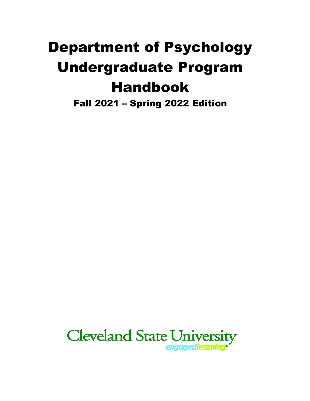# Department of Psychology Undergraduate Program Handbook

Fall 2021 – Spring 2022 Edition

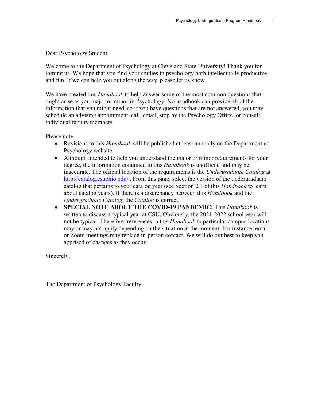Dear Psychology Student,

Welcome to the Department of Psychology at Cleveland State University! Thank you for joining us. We hope that you find your studies in psychology both intellectually productive and fun. If we can help you out along the way, please let us know.

We have created this *Handbook* to help answer some of the most common questions that might arise as you major or minor in Psychology. No handbook can provide all of the information that you might need, so if you have questions that are not answered, you may schedule an advising appointment, call, email, stop by the Psychology Office, or consult individual faculty members.

Please note:

- Revisions to this *Handbook* will be published at least annually on the Department of Psychology website.
- Although intended to help you understand the major or minor requirements for your degree, the information contained in this *Handbook* is unofficial and may be inaccurate. The official location of the requirements is the *Undergraduate Catalog* at <http://catalog.csuohio.edu/> . From this page, select the version of the undergraduate catalog that pertains to your catalog year (see Section 2.1 of this *Handbook* to learn about catalog years). If there is a discrepancy between this *Handbook* and the *Undergraduate Catalog*, the *Catalog* is correct.
- **SPECIAL NOTE ABOUT THE COVID-19 PANDEMIC:** This *Handbook* is written to discuss a typical year at CSU. Obviously, the 2021-2022 school year will not be typical. Therefore, references in this *Handbook* to particular campus locations may or may not apply depending on the situation at the moment. For instance, email or Zoom meetings may replace in-person contact. We will do our best to keep you apprised of changes as they occur.

Sincerely,

The Department of Psychology Faculty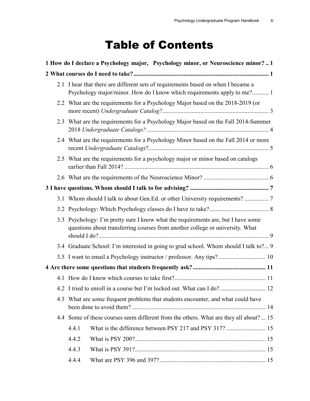## Table of Contents

|     |                                                                                                                                                                    | 1 How do I declare a Psychology major, Psychology minor, or Neuroscience minor?1                                                                             |  |
|-----|--------------------------------------------------------------------------------------------------------------------------------------------------------------------|--------------------------------------------------------------------------------------------------------------------------------------------------------------|--|
|     |                                                                                                                                                                    |                                                                                                                                                              |  |
|     |                                                                                                                                                                    | 2.1 I hear that there are different sets of requirements based on when I became a<br>Psychology major/minor. How do I know which requirements apply to me? 1 |  |
|     |                                                                                                                                                                    | 2.2 What are the requirements for a Psychology Major based on the 2018-2019 (or                                                                              |  |
|     |                                                                                                                                                                    | 2.3 What are the requirements for a Psychology Major based on the Fall 2014-Summer                                                                           |  |
|     |                                                                                                                                                                    | 2.4 What are the requirements for a Psychology Minor based on the Fall 2014 or more                                                                          |  |
|     |                                                                                                                                                                    | 2.5 What are the requirements for a psychology major or minor based on catalogs                                                                              |  |
|     |                                                                                                                                                                    |                                                                                                                                                              |  |
|     |                                                                                                                                                                    |                                                                                                                                                              |  |
|     | 3.1 Whom should I talk to about Gen.Ed. or other University requirements?  7                                                                                       |                                                                                                                                                              |  |
|     |                                                                                                                                                                    |                                                                                                                                                              |  |
|     | 3.3 Psychology: I'm pretty sure I know what the requirements are, but I have some<br>questions about transferring courses from another college or university. What |                                                                                                                                                              |  |
|     | 3.4 Graduate School: I'm interested in going to grad school. Whom should I talk to? 9                                                                              |                                                                                                                                                              |  |
|     | 3.5 I want to email a Psychology instructor / professor. Any tips?  10                                                                                             |                                                                                                                                                              |  |
|     |                                                                                                                                                                    |                                                                                                                                                              |  |
|     |                                                                                                                                                                    |                                                                                                                                                              |  |
|     |                                                                                                                                                                    | 4.2 I tried to enroll in a course but I'm locked out. What can I do? 12                                                                                      |  |
| 4.3 | What are some frequent problems that students encounter, and what could have                                                                                       |                                                                                                                                                              |  |
|     |                                                                                                                                                                    | 4.4 Some of these courses seem different from the others. What are they all about?  15                                                                       |  |
|     | 4.4.1                                                                                                                                                              | What is the difference between PSY 217 and PSY 317?  15                                                                                                      |  |
|     | 4.4.2                                                                                                                                                              |                                                                                                                                                              |  |
|     | 4.4.3                                                                                                                                                              |                                                                                                                                                              |  |
|     | 4.4.4                                                                                                                                                              |                                                                                                                                                              |  |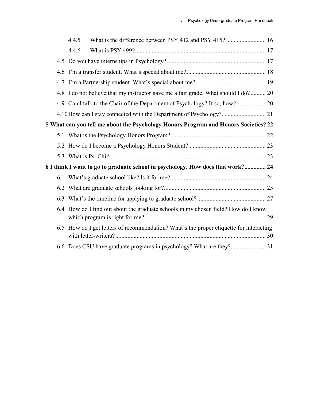|     | What is the difference between PSY 412 and PSY 415?  16<br>4.4.5                        |  |
|-----|-----------------------------------------------------------------------------------------|--|
|     | 4.4.6                                                                                   |  |
|     |                                                                                         |  |
|     |                                                                                         |  |
|     |                                                                                         |  |
| 4.8 | I do not believe that my instructor gave me a fair grade. What should I do? 20          |  |
|     | 4.9 Can I talk to the Chair of the Department of Psychology? If so, how? 20             |  |
|     | 4.10 How can I stay connected with the Department of Psychology? 21                     |  |
|     | 5 What can you tell me about the Psychology Honors Program and Honors Societies? 22     |  |
|     |                                                                                         |  |
|     |                                                                                         |  |
|     |                                                                                         |  |
|     | 6 I think I want to go to graduate school in psychology. How does that work? 24         |  |
|     |                                                                                         |  |
|     |                                                                                         |  |
| 6.3 |                                                                                         |  |
|     | 6.4 How do I find out about the graduate schools in my chosen field? How do I know      |  |
|     | 6.5 How do I get letters of recommendation? What's the proper etiquette for interacting |  |
|     |                                                                                         |  |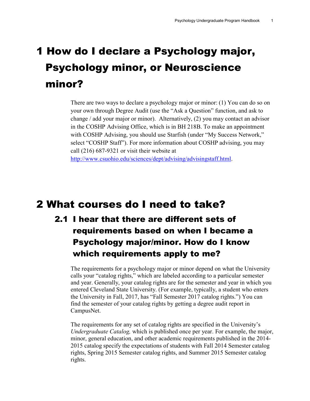## <span id="page-6-0"></span>1 How do I declare a Psychology major, Psychology minor, or Neuroscience minor?

There are two ways to declare a psychology major or minor: (1) You can do so on your own through Degree Audit (use the "Ask a Question" function, and ask to change / add your major or minor). Alternatively, (2) you may contact an advisor in the COSHP Advising Office, which is in BH 218B. To make an appointment with COSHP Advising, you should use Starfish (under "My Success Network," select "COSHP Staff"). For more information about COSHP advising, you may call (216) 687-9321 or visit their website at [http://www.csuohio.edu/sciences/dept/advising/advisingstaff.html.](http://www.csuohio.edu/sciences/dept/advising/advisingstaff.html)

### <span id="page-6-1"></span>2 What courses do I need to take?

<span id="page-6-2"></span>2.1 I hear that there are different sets of requirements based on when I became a Psychology major/minor. How do I know which requirements apply to me?

The requirements for a psychology major or minor depend on what the University calls your "catalog rights," which are labeled according to a particular semester and year. Generally, your catalog rights are for the semester and year in which you entered Cleveland State University. (For example, typically, a student who enters the University in Fall, 2017, has "Fall Semester 2017 catalog rights.") You can find the semester of your catalog rights by getting a degree audit report in CampusNet.

The requirements for any set of catalog rights are specified in the University's *Undergraduate Catalog,* which is published once per year. For example, the major, minor, general education, and other academic requirements published in the 2014- 2015 catalog specify the expectations of students with Fall 2014 Semester catalog rights, Spring 2015 Semester catalog rights, and Summer 2015 Semester catalog rights.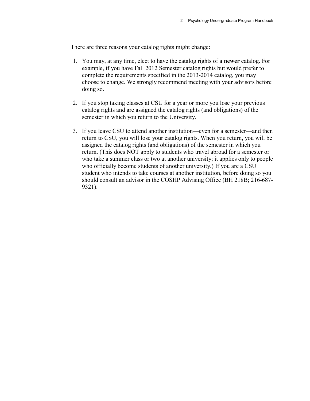There are three reasons your catalog rights might change:

- 1. You may, at any time, elect to have the catalog rights of a **newer** catalog. For example, if you have Fall 2012 Semester catalog rights but would prefer to complete the requirements specified in the 2013-2014 catalog, you may choose to change. We strongly recommend meeting with your advisors before doing so.
- 2. If you stop taking classes at CSU for a year or more you lose your previous catalog rights and are assigned the catalog rights (and obligations) of the semester in which you return to the University.
- 3. If you leave CSU to attend another institution—even for a semester—and then return to CSU, you will lose your catalog rights. When you return, you will be assigned the catalog rights (and obligations) of the semester in which you return. (This does NOT apply to students who travel abroad for a semester or who take a summer class or two at another university; it applies only to people who officially become students of another university.) If you are a CSU student who intends to take courses at another institution, before doing so you should consult an advisor in the COSHP Advising Office (BH 218B; 216-687- 9321).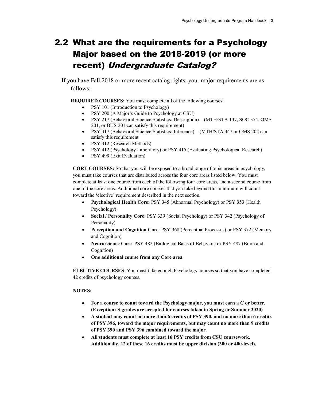### <span id="page-8-0"></span>2.2 What are the requirements for a Psychology Major based on the 2018-2019 (or more recent) Undergraduate Catalog?

If you have Fall 2018 or more recent catalog rights, your major requirements are as follows:

**REQUIRED COURSES:** You must complete all of the following courses:

- PSY 101 (Introduction to Psychology)
- PSY 200 (A Major's Guide to Psychology at CSU)
- PSY 217 (Behavioral Science Statistics: Description) (MTH/STA 147, SOC 354, OMS 201, or BUS 201 can satisfy this requirement)
- PSY 317 (Behavioral Science Statistics: Inference) (MTH/STA 347 or OMS 202 can satisfy this requirement
- PSY 312 (Research Methods)
- PSY 412 (Psychology Laboratory) or PSY 415 (Evaluating Psychological Research)
- PSY 499 (Exit Evaluation)

**CORE COURSES:** So that you will be exposed to a broad range of topic areas in psychology, you must take courses that are distributed across the four core areas listed below. You must complete at least one course from each of the following four core areas, and a second course from one of the core areas. Additional core courses that you take beyond this minimum will count toward the 'elective' requirement described in the next section.

- **Psychological Health Core:** PSY 345 (Abnormal Psychology) or PSY 353 (Health Psychology)
- **Social / Personality Core**: PSY 339 (Social Psychology) or PSY 342 (Psychology of Personality)
- **Perception and Cognition Core**: PSY 368 (Perceptual Processes) or PSY 372 (Memory and Cognition)
- **Neuroscience Core**: PSY 482 (Biological Basis of Behavior) or PSY 487 (Brain and Cognition)
- **One additional course from any Core area**

**ELECTIVE COURSES**: You must take enough Psychology courses so that you have completed 42 credits of psychology courses.

#### **NOTES:**

- **For a course to count toward the Psychology major, you must earn a C or better. (Exception: S grades are accepted for courses taken in Spring or Summer 2020)**
- **A student may count no more than 6 credits of PSY 390, and no more than 6 credits of PSY 396, toward the major requirements, but may count no more than 9 credits of PSY 390 and PSY 396 combined toward the major.**
- **All students must complete at least 16 PSY credits from CSU coursework. Additionally, 12 of these 16 credits must be upper division (300 or 400-level).**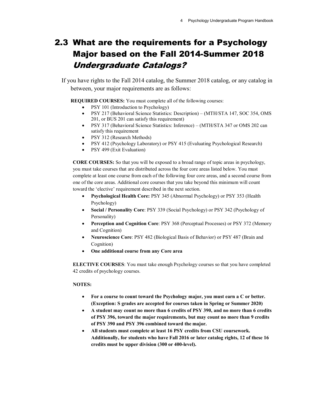### <span id="page-9-0"></span>2.3 What are the requirements for a Psychology Major based on the Fall 2014-Summer 2018 Undergraduate Catalogs?

If you have rights to the Fall 2014 catalog, the Summer 2018 catalog, or any catalog in between, your major requirements are as follows:

**REQUIRED COURSES:** You must complete all of the following courses:

- PSY 101 (Introduction to Psychology)
- PSY 217 (Behavioral Science Statistics: Description) (MTH/STA 147, SOC 354, OMS 201, or BUS 201 can satisfy this requirement)
- PSY 317 (Behavioral Science Statistics: Inference) (MTH/STA 347 or OMS 202 can satisfy this requirement
- PSY 312 (Research Methods)
- PSY 412 (Psychology Laboratory) or PSY 415 (Evaluating Psychological Research)
- PSY 499 (Exit Evaluation)

**CORE COURSES:** So that you will be exposed to a broad range of topic areas in psychology, you must take courses that are distributed across the four core areas listed below. You must complete at least one course from each of the following four core areas, and a second course from one of the core areas. Additional core courses that you take beyond this minimum will count toward the 'elective' requirement described in the next section.

- **Psychological Health Core:** PSY 345 (Abnormal Psychology) or PSY 353 (Health Psychology)
- **Social / Personality Core**: PSY 339 (Social Psychology) or PSY 342 (Psychology of Personality)
- **Perception and Cognition Core**: PSY 368 (Perceptual Processes) or PSY 372 (Memory and Cognition)
- **Neuroscience Core**: PSY 482 (Biological Basis of Behavior) or PSY 487 (Brain and Cognition)
- **One additional course from any Core area**

**ELECTIVE COURSES**: You must take enough Psychology courses so that you have completed 42 credits of psychology courses.

#### **NOTES:**

- **For a course to count toward the Psychology major, you must earn a C or better. (Exception: S grades are accepted for courses taken in Spring or Summer 2020)**
- **A student may count no more than 6 credits of PSY 390, and no more than 6 credits of PSY 396, toward the major requirements, but may count no more than 9 credits of PSY 390 and PSY 396 combined toward the major.**
- **All students must complete at least 16 PSY credits from CSU coursework. Additionally, for students who have Fall 2016 or later catalog rights, 12 of these 16 credits must be upper division (300 or 400-level).**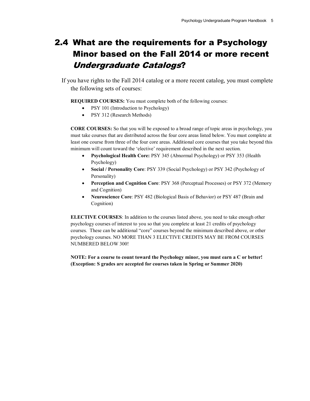### <span id="page-10-0"></span>2.4 What are the requirements for a Psychology Minor based on the Fall 2014 or more recent Undergraduate Catalogs?

If you have rights to the Fall 2014 catalog or a more recent catalog, you must complete the following sets of courses:

**REQUIRED COURSES:** You must complete both of the following courses:

- PSY 101 (Introduction to Psychology)
- PSY 312 (Research Methods)

**CORE COURSES:** So that you will be exposed to a broad range of topic areas in psychology, you must take courses that are distributed across the four core areas listed below. You must complete at least one course from three of the four core areas. Additional core courses that you take beyond this minimum will count toward the 'elective' requirement described in the next section.

- **Psychological Health Core:** PSY 345 (Abnormal Psychology) or PSY 353 (Health Psychology)
- **Social / Personality Core**: PSY 339 (Social Psychology) or PSY 342 (Psychology of Personality)
- **Perception and Cognition Core**: PSY 368 (Perceptual Processes) or PSY 372 (Memory and Cognition)
- **Neuroscience Core**: PSY 482 (Biological Basis of Behavior) or PSY 487 (Brain and Cognition)

**ELECTIVE COURSES**: In addition to the courses listed above, you need to take enough other psychology courses of interest to you so that you complete at least 21 credits of psychology courses. These can be additional "core" courses beyond the minimum described above, or other psychology courses. NO MORE THAN 3 ELECTIVE CREDITS MAY BE FROM COURSES NUMBERED BELOW 300!

**NOTE: For a course to count toward the Psychology minor, you must earn a C or better! (Exception: S grades are accepted for courses taken in Spring or Summer 2020)**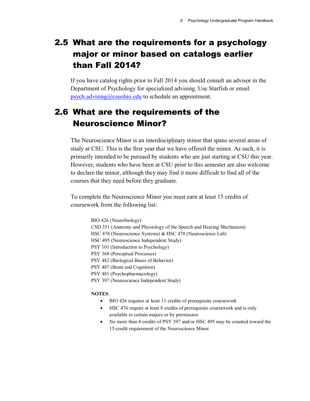### <span id="page-11-0"></span>2.5 What are the requirements for a psychology major or minor based on catalogs earlier than Fall 2014?

If you have catalog rights prior to Fall 2014 you should consult an advisor in the Department of Psychology for specialized advising. Use Starfish or email [psych.advising@csuohio.edu](mailto:psych.advising@csuohio.edu) to schedule an appointment.

### <span id="page-11-1"></span>2.6 What are the requirements of the Neuroscience Minor?

The Neuroscience Minor is an interdisciplinary minor that spans several areas of study at CSU. This is the first year that we have offered the minor. As such, it is primarily intended to be pursued by students who are just starting at CSU this year. However, students who have been at CSU prior to this semester are also welcome to declare the minor, although they may find it more difficult to find all of the courses that they need before they graduate.

To complete the Neuroscience Minor you must earn at least 15 credits of coursework from the following list:

> BIO 426 (Neurobiology) CSD 351 (Anatomy and Physiology of the Speech and Hearing Mechanism) HSC 476 (Neuroscience Systems) & HSC 478 (Neuroscience Lab) HSC 495 (Neuroscience Independent Study) PSY 101 (Introduction to Psychology) PSY 368 (Perceptual Processes) PSY 482 (Biological Bases of Behavior) PSY 487 (Brain and Cognition) PSY 481 (Psychopharmacology) PSY 397 (Neuroscience Independent Study)

#### **NOTES**:

- BIO 426 requires at least 11 credits of prerequisite coursework
- HSC 476 require at least 8 credits of prerequisite coursework and is only available to certain majors or by permission
- No more than 4 credits of PSY 397 and/or HSC 495 may be counted toward the 15-credit requirement of the Neuroscience Minor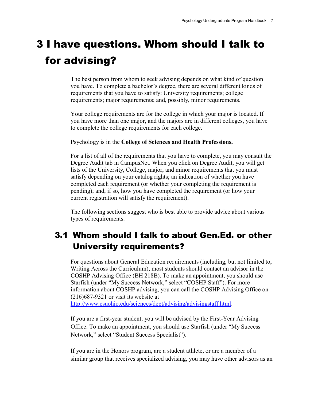## <span id="page-12-0"></span>3 I have questions. Whom should I talk to for advising?

The best person from whom to seek advising depends on what kind of question you have. To complete a bachelor's degree, there are several different kinds of requirements that you have to satisfy: University requirements; college requirements; major requirements; and, possibly, minor requirements.

Your college requirements are for the college in which your major is located. If you have more than one major, and the majors are in different colleges, you have to complete the college requirements for each college.

Psychology is in the **College of Sciences and Health Professions.**

For a list of all of the requirements that you have to complete, you may consult the Degree Audit tab in CampusNet. When you click on Degree Audit, you will get lists of the University, College, major, and minor requirements that you must satisfy depending on your catalog rights; an indication of whether you have completed each requirement (or whether your completing the requirement is pending); and, if so, how you have completed the requirement (or how your current registration will satisfy the requirement).

The following sections suggest who is best able to provide advice about various types of requirements.

### <span id="page-12-1"></span>3.1 Whom should I talk to about Gen.Ed. or other University requirements?

For questions about General Education requirements (including, but not limited to, Writing Across the Curriculum), most students should contact an advisor in the COSHP Advising Office (BH 218B). To make an appointment, you should use Starfish (under "My Success Network," select "COSHP Staff"). For more information about COSHP advising, you can call the COSHP Advising Office on (216)687-9321 or visit its website at

[http://www.csuohio.edu/sciences/dept/advising/advisingstaff.html.](http://www.csuohio.edu/sciences/dept/advising/advisingstaff.html)

If you are a first-year student, you will be advised by the First-Year Advising Office. To make an appointment, you should use Starfish (under "My Success Network," select "Student Success Specialist").

If you are in the Honors program, are a student athlete, or are a member of a similar group that receives specialized advising, you may have other advisors as an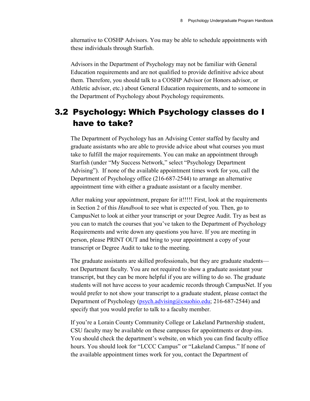alternative to COSHP Advisors. You may be able to schedule appointments with these individuals through Starfish.

Advisors in the Department of Psychology may not be familiar with General Education requirements and are not qualified to provide definitive advice about them. Therefore, you should talk to a COSHP Advisor (or Honors advisor, or Athletic advisor, etc.) about General Education requirements, and to someone in the Department of Psychology about Psychology requirements.

### <span id="page-13-0"></span>3.2 Psychology: Which Psychology classes do I have to take?

The Department of Psychology has an Advising Center staffed by faculty and graduate assistants who are able to provide advice about what courses you must take to fulfill the major requirements. You can make an appointment through Starfish (under "My Success Network," select "Psychology Department Advising"). If none of the available appointment times work for you, call the Department of Psychology office (216-687-2544) to arrange an alternative appointment time with either a graduate assistant or a faculty member.

After making your appointment, prepare for it!!!!! First, look at the requirements in Section 2 of this *Handbook* to see what is expected of you. Then, go to CampusNet to look at either your transcript or your Degree Audit. Try as best as you can to match the courses that you've taken to the Department of Psychology Requirements and write down any questions you have. If you are meeting in person, please PRINT OUT and bring to your appointment a copy of your transcript or Degree Audit to take to the meeting.

The graduate assistants are skilled professionals, but they are graduate students not Department faculty. You are not required to show a graduate assistant your transcript, but they can be more helpful if you are willing to do so. The graduate students will not have access to your academic records through CampusNet. If you would prefer to not show your transcript to a graduate student, please contact the Department of Psychology [\(psych.advising@csuohio.edu;](mailto:psych.advising@csuohio.edu) 216-687-2544) and specify that you would prefer to talk to a faculty member.

If you're a Lorain County Community College or Lakeland Partnership student, CSU faculty may be available on these campuses for appointments or drop-ins. You should check the department's website, on which you can find faculty office hours. You should look for "LCCC Campus" or "Lakeland Campus." If none of the available appointment times work for you, contact the Department of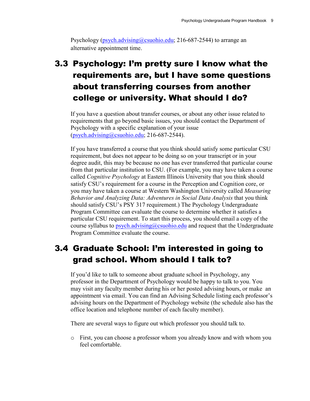Psychology [\(psych.advising@csuohio.edu;](mailto:psych.advising@csuohio.edu) 216-687-2544) to arrange an alternative appointment time.

### <span id="page-14-0"></span>3.3 Psychology: I'm pretty sure I know what the requirements are, but I have some questions about transferring courses from another college or university. What should I do?

If you have a question about transfer courses, or about any other issue related to requirements that go beyond basic issues, you should contact the Department of Psychology with a specific explanation of your issue [\(psych.advising@csuohio.edu;](mailto:psych.advising@csuohio.edu) 216-687-2544).

If you have transferred a course that you think should satisfy some particular CSU requirement, but does not appear to be doing so on your transcript or in your degree audit, this may be because no one has ever transferred that particular course from that particular institution to CSU. (For example, you may have taken a course called *Cognitive Psychology* at Eastern Illinois University that you think should satisfy CSU's requirement for a course in the Perception and Cognition core, or you may have taken a course at Western Washington University called *Measuring Behavior and Analyzing Data: Adventures in Social Data Analysis* that you think should satisfy CSU's PSY 317 requirement.) The Psychology Undergraduate Program Committee can evaluate the course to determine whether it satisfies a particular CSU requirement. To start this process, you should email a copy of the course syllabus to [psych.advising@csuohio.edu](mailto:psych.advising@csuohio.edu) and request that the Undergraduate Program Committee evaluate the course.

### <span id="page-14-1"></span>3.4 Graduate School: I'm interested in going to grad school. Whom should I talk to?

If you'd like to talk to someone about graduate school in Psychology, any professor in the Department of Psychology would be happy to talk to you. You may visit any faculty member during his or her posted advising hours, or make an appointment via email. You can find an Advising Schedule listing each professor's advising hours on the Department of Psychology website (the schedule also has the office location and telephone number of each faculty member).

There are several ways to figure out which professor you should talk to.

o First, you can choose a professor whom you already know and with whom you feel comfortable.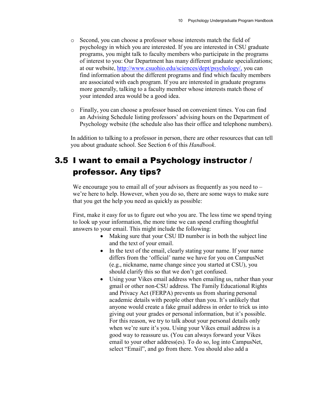- o Second, you can choose a professor whose interests match the field of psychology in which you are interested. If you are interested in CSU graduate programs, you might talk to faculty members who participate in the programs of interest to you: Our Department has many different graduate specializations; at our website, [http://www.csuohio.edu/sciences/dept/psychology/,](http://www.csuohio.edu/sciences/dept/psychology/) you can find information about the different programs and find which faculty members are associated with each program. If you are interested in graduate programs more generally, talking to a faculty member whose interests match those of your intended area would be a good idea.
- o Finally, you can choose a professor based on convenient times. You can find an Advising Schedule listing professors' advising hours on the Department of Psychology website (the schedule also has their office and telephone numbers).

In addition to talking to a professor in person, there are other resources that can tell you about graduate school. See Section 6 of this *Handbook*.

### <span id="page-15-0"></span>3.5 I want to email a Psychology instructor / professor. Any tips?

We encourage you to email all of your advisors as frequently as you need to – we're here to help. However, when you do so, there are some ways to make sure that you get the help you need as quickly as possible:

First, make it easy for us to figure out who you are. The less time we spend trying to look up your information, the more time we can spend crafting thoughtful answers to your email. This might include the following:

- Making sure that your CSU ID number is in both the subject line and the text of your email.
- In the text of the email, clearly stating your name. If your name differs from the 'official' name we have for you on CampusNet (e.g., nickname, name change since you started at CSU), you should clarify this so that we don't get confused.
- Using your Vikes email address when emailing us, rather than your gmail or other non-CSU address. The Family Educational Rights and Privacy Act (FERPA) prevents us from sharing personal academic details with people other than you. It's unlikely that anyone would create a fake gmail address in order to trick us into giving out your grades or personal information, but it's possible. For this reason, we try to talk about your personal details only when we're sure it's you. Using your Vikes email address is a good way to reassure us. (You can always forward your Vikes email to your other address(es). To do so, log into CampusNet, select "Email", and go from there. You should also add a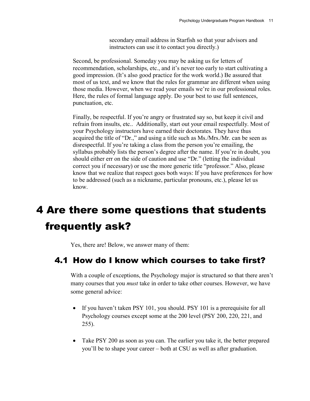secondary email address in Starfish so that your advisors and instructors can use it to contact you directly.)

Second, be professional. Someday you may be asking us for letters of recommendation, scholarships, etc., and it's never too early to start cultivating a good impression. (It's also good practice for the work world.) Be assured that most of us text, and we know that the rules for grammar are different when using those media. However, when we read your emails we're in our professional roles. Here, the rules of formal language apply. Do your best to use full sentences, punctuation, etc.

Finally, be respectful. If you're angry or frustrated say so, but keep it civil and refrain from insults, etc.. Additionally, start out your email respectfully. Most of your Psychology instructors have earned their doctorates. They have thus acquired the title of "Dr.," and using a title such as Ms./Mrs./Mr. can be seen as disrespectful. If you're taking a class from the person you're emailing, the syllabus probably lists the person's degree after the name. If you're in doubt, you should either err on the side of caution and use "Dr." (letting the individual correct you if necessary) or use the more generic title "professor." Also, please know that we realize that respect goes both ways: If you have preferences for how to be addressed (such as a nickname, particular pronouns, etc.), please let us know.

## <span id="page-16-0"></span>4 Are there some questions that students frequently ask?

<span id="page-16-1"></span>Yes, there are! Below, we answer many of them:

### 4.1 How do I know which courses to take first?

With a couple of exceptions, the Psychology major is structured so that there aren't many courses that you *must* take in order to take other courses. However, we have some general advice:

- If you haven't taken PSY 101, you should. PSY 101 is a prerequisite for all Psychology courses except some at the 200 level (PSY 200, 220, 221, and 255).
- Take PSY 200 as soon as you can. The earlier you take it, the better prepared you'll be to shape your career – both at CSU as well as after graduation.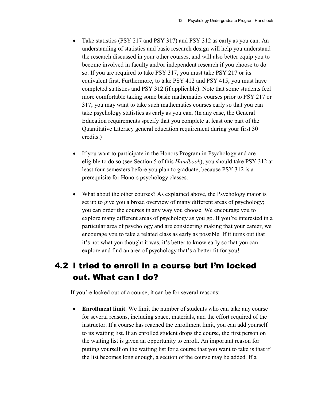- Take statistics (PSY 217 and PSY 317) and PSY 312 as early as you can. An understanding of statistics and basic research design will help you understand the research discussed in your other courses, and will also better equip you to become involved in faculty and/or independent research if you choose to do so. If you are required to take PSY 317, you must take PSY 217 or its equivalent first. Furthermore, to take PSY 412 and PSY 415, you must have completed statistics and PSY 312 (if applicable). Note that some students feel more comfortable taking some basic mathematics courses prior to PSY 217 or 317; you may want to take such mathematics courses early so that you can take psychology statistics as early as you can. (In any case, the General Education requirements specify that you complete at least one part of the Quantitative Literacy general education requirement during your first 30 credits.)
- If you want to participate in the Honors Program in Psychology and are eligible to do so (see Section 5 of this *Handbook*), you should take PSY 312 at least four semesters before you plan to graduate, because PSY 312 is a prerequisite for Honors psychology classes.
- What about the other courses? As explained above, the Psychology major is set up to give you a broad overview of many different areas of psychology; you can order the courses in any way you choose. We encourage you to explore many different areas of psychology as you go. If you're interested in a particular area of psychology and are considering making that your career, we encourage you to take a related class as early as possible. If it turns out that it's not what you thought it was, it's better to know early so that you can explore and find an area of psychology that's a better fit for you!

### <span id="page-17-0"></span>4.2 I tried to enroll in a course but I'm locked out. What can I do?

If you're locked out of a course, it can be for several reasons:

• **Enrollment limit**. We limit the number of students who can take any course for several reasons, including space, materials, and the effort required of the instructor. If a course has reached the enrollment limit, you can add yourself to its waiting list. If an enrolled student drops the course, the first person on the waiting list is given an opportunity to enroll. An important reason for putting yourself on the waiting list for a course that you want to take is that if the list becomes long enough, a section of the course may be added. If a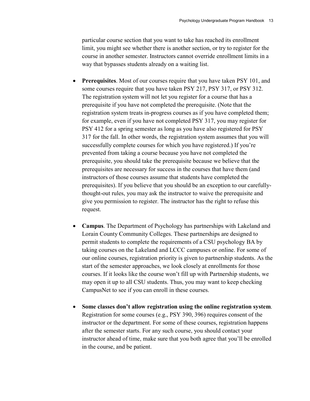particular course section that you want to take has reached its enrollment limit, you might see whether there is another section, or try to register for the course in another semester. Instructors cannot override enrollment limits in a way that bypasses students already on a waiting list.

- **Prerequisites**. Most of our courses require that you have taken PSY 101, and some courses require that you have taken PSY 217, PSY 317, or PSY 312. The registration system will not let you register for a course that has a prerequisite if you have not completed the prerequisite. (Note that the registration system treats in-progress courses as if you have completed them; for example, even if you have not completed PSY 317, you may register for PSY 412 for a spring semester as long as you have also registered for PSY 317 for the fall. In other words, the registration system assumes that you will successfully complete courses for which you have registered.) If you're prevented from taking a course because you have not completed the prerequisite, you should take the prerequisite because we believe that the prerequisites are necessary for success in the courses that have them (and instructors of those courses assume that students have completed the prerequisites). If you believe that you should be an exception to our carefullythought-out rules, you may ask the instructor to waive the prerequisite and give you permission to register. The instructor has the right to refuse this request.
- **Campus**. The Department of Psychology has partnerships with Lakeland and Lorain County Community Colleges. These partnerships are designed to permit students to complete the requirements of a CSU psychology BA by taking courses on the Lakeland and LCCC campuses or online. For some of our online courses, registration priority is given to partnership students. As the start of the semester approaches, we look closely at enrollments for those courses. If it looks like the course won't fill up with Partnership students, we may open it up to all CSU students. Thus, you may want to keep checking CampusNet to see if you can enroll in these courses.
- **Some classes don't allow registration using the online registration system**. Registration for some courses (e.g., PSY 390, 396) requires consent of the instructor or the department. For some of these courses, registration happens after the semester starts. For any such course, you should contact your instructor ahead of time, make sure that you both agree that you'll be enrolled in the course, and be patient.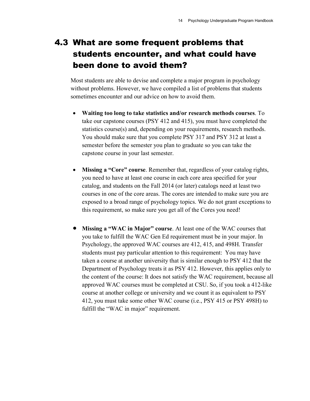### <span id="page-19-0"></span>4.3 What are some frequent problems that students encounter, and what could have been done to avoid them?

Most students are able to devise and complete a major program in psychology without problems. However, we have compiled a list of problems that students sometimes encounter and our advice on how to avoid them.

- **Waiting too long to take statistics and/or research methods courses**. To take our capstone courses (PSY 412 and 415), you must have completed the statistics course(s) and, depending on your requirements, research methods. You should make sure that you complete PSY 317 and PSY 312 at least a semester before the semester you plan to graduate so you can take the capstone course in your last semester.
- **Missing a "Core" course**. Remember that, regardless of your catalog rights, you need to have at least one course in each core area specified for your catalog, and students on the Fall 2014 (or later) catalogs need at least two courses in one of the core areas. The cores are intended to make sure you are exposed to a broad range of psychology topics. We do not grant exceptions to this requirement, so make sure you get all of the Cores you need!
- **Missing a "WAC in Major" course**. At least one of the WAC courses that you take to fulfill the WAC Gen Ed requirement must be in your major. In Psychology, the approved WAC courses are 412, 415, and 498H. Transfer students must pay particular attention to this requirement: You may have taken a course at another university that is similar enough to PSY 412 that the Department of Psychology treats it as PSY 412. However, this applies only to the content of the course: It does not satisfy the WAC requirement, because all approved WAC courses must be completed at CSU. So, if you took a 412-like course at another college or university and we count it as equivalent to PSY 412, you must take some other WAC course (i.e., PSY 415 or PSY 498H) to fulfill the "WAC in major" requirement.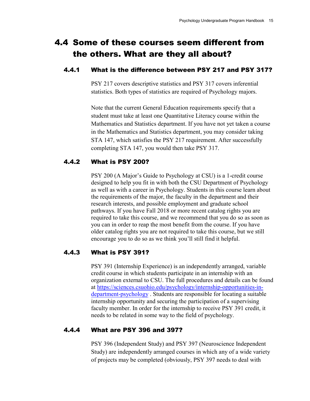### <span id="page-20-0"></span>4.4 Some of these courses seem different from the others. What are they all about?

#### <span id="page-20-1"></span>4.4.1 What is the difference between PSY 217 and PSY 317?

PSY 217 covers descriptive statistics and PSY 317 covers inferential statistics. Both types of statistics are required of Psychology majors.

Note that the current General Education requirements specify that a student must take at least one Quantitative Literacy course within the Mathematics and Statistics department. If you have not yet taken a course in the Mathematics and Statistics department, you may consider taking STA 147, which satisfies the PSY 217 requirement. After successfully completing STA 147, you would then take PSY 317.

#### <span id="page-20-2"></span>4.4.2 What is PSY 200?

PSY 200 (A Major's Guide to Psychology at CSU) is a 1-credit course designed to help you fit in with both the CSU Department of Psychology as well as with a career in Psychology. Students in this course learn about the requirements of the major, the faculty in the department and their research interests, and possible employment and graduate school pathways. If you have Fall 2018 or more recent catalog rights you are required to take this course, and we recommend that you do so as soon as you can in order to reap the most benefit from the course. If you have older catalog rights you are not required to take this course, but we still encourage you to do so as we think you'll still find it helpful.

#### <span id="page-20-3"></span>4.4.3 What is PSY 391?

PSY 391 (Internship Experience) is an independently arranged, variable credit course in which students participate in an internship with an organization external to CSU. The full procedures and details can be found at [https://sciences.csuohio.edu/psychology/internship-opportunities-in](https://sciences.csuohio.edu/psychology/internship-opportunities-in-department-psychology)[department-psychology](https://sciences.csuohio.edu/psychology/internship-opportunities-in-department-psychology) . Students are responsible for locating a suitable internship opportunity and securing the participation of a supervising faculty member. In order for the internship to receive PSY 391 credit, it needs to be related in some way to the field of psychology.

#### <span id="page-20-4"></span>4.4.4 What are PSY 396 and 397?

PSY 396 (Independent Study) and PSY 397 (Neuroscience Independent Study) are independently arranged courses in which any of a wide variety of projects may be completed (obviously, PSY 397 needs to deal with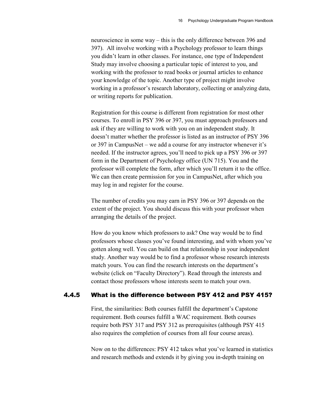neuroscience in some way – this is the only difference between 396 and 397). All involve working with a Psychology professor to learn things you didn't learn in other classes. For instance, one type of Independent Study may involve choosing a particular topic of interest to you, and working with the professor to read books or journal articles to enhance your knowledge of the topic. Another type of project might involve working in a professor's research laboratory, collecting or analyzing data, or writing reports for publication.

Registration for this course is different from registration for most other courses. To enroll in PSY 396 or 397, you must approach professors and ask if they are willing to work with you on an independent study. It doesn't matter whether the professor is listed as an instructor of PSY 396 or 397 in CampusNet – we add a course for any instructor whenever it's needed. If the instructor agrees, you'll need to pick up a PSY 396 or 397 form in the Department of Psychology office (UN 715). You and the professor will complete the form, after which you'll return it to the office. We can then create permission for you in CampusNet, after which you may log in and register for the course.

The number of credits you may earn in PSY 396 or 397 depends on the extent of the project. You should discuss this with your professor when arranging the details of the project.

How do you know which professors to ask? One way would be to find professors whose classes you've found interesting, and with whom you've gotten along well. You can build on that relationship in your independent study. Another way would be to find a professor whose research interests match yours. You can find the research interests on the department's website (click on "Faculty Directory"). Read through the interests and contact those professors whose interests seem to match your own.

#### <span id="page-21-0"></span>4.4.5 What is the difference between PSY 412 and PSY 415?

First, the similarities: Both courses fulfill the department's Capstone requirement. Both courses fulfill a WAC requirement. Both courses require both PSY 317 and PSY 312 as prerequisites (although PSY 415 also requires the completion of courses from all four course areas).

Now on to the differences: PSY 412 takes what you've learned in statistics and research methods and extends it by giving you in-depth training on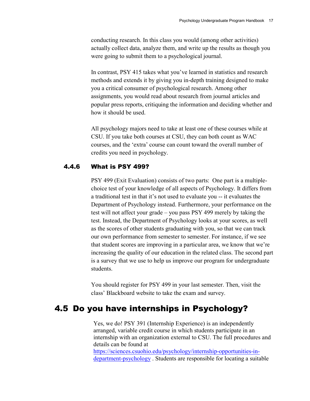conducting research. In this class you would (among other activities) actually collect data, analyze them, and write up the results as though you were going to submit them to a psychological journal.

In contrast, PSY 415 takes what you've learned in statistics and research methods and extends it by giving you in-depth training designed to make you a critical consumer of psychological research. Among other assignments, you would read about research from journal articles and popular press reports, critiquing the information and deciding whether and how it should be used.

All psychology majors need to take at least one of these courses while at CSU. If you take both courses at CSU, they can both count as WAC courses, and the 'extra' course can count toward the overall number of credits you need in psychology.

#### <span id="page-22-0"></span>4.4.6 What is PSY 499?

PSY 499 (Exit Evaluation) consists of two parts: One part is a multiplechoice test of your knowledge of all aspects of Psychology. It differs from a traditional test in that it's not used to evaluate you -- it evaluates the Department of Psychology instead. Furthermore, your performance on the test will not affect your grade – you pass PSY 499 merely by taking the test. Instead, the Department of Psychology looks at your scores, as well as the scores of other students graduating with you, so that we can track our own performance from semester to semester. For instance, if we see that student scores are improving in a particular area, we know that we're increasing the quality of our education in the related class. The second part is a survey that we use to help us improve our program for undergraduate students.

You should register for PSY 499 in your last semester. Then, visit the class' Blackboard website to take the exam and survey.

### <span id="page-22-1"></span>4.5 Do you have internships in Psychology?

Yes, we do! PSY 391 (Internship Experience) is an independently arranged, variable credit course in which students participate in an internship with an organization external to CSU. The full procedures and details can be found at [https://sciences.csuohio.edu/psychology/internship-opportunities-in-](https://sciences.csuohio.edu/psychology/internship-opportunities-in-department-psychology)

[department-psychology](https://sciences.csuohio.edu/psychology/internship-opportunities-in-department-psychology) . Students are responsible for locating a suitable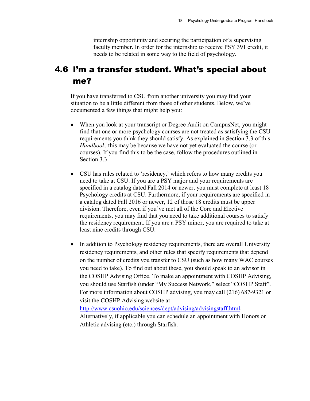internship opportunity and securing the participation of a supervising faculty member. In order for the internship to receive PSY 391 credit, it needs to be related in some way to the field of psychology.

### <span id="page-23-0"></span>4.6 I'm a transfer student. What's special about me?

If you have transferred to CSU from another university you may find your situation to be a little different from those of other students. Below, we've documented a few things that might help you:

- When you look at your transcript or Degree Audit on CampusNet, you might find that one or more psychology courses are not treated as satisfying the CSU requirements you think they should satisfy. As explained in Section 3.3 of this *Handbook*, this may be because we have not yet evaluated the course (or courses). If you find this to be the case, follow the procedures outlined in Section 3.3.
- CSU has rules related to 'residency,' which refers to how many credits you need to take at CSU. If you are a PSY major and your requirements are specified in a catalog dated Fall 2014 or newer, you must complete at least 18 Psychology credits at CSU. Furthermore, if your requirements are specified in a catalog dated Fall 2016 or newer, 12 of those 18 credits must be upper division. Therefore, even if you've met all of the Core and Elective requirements, you may find that you need to take additional courses to satisfy the residency requirement. If you are a PSY minor, you are required to take at least nine credits through CSU.
- In addition to Psychology residency requirements, there are overall University residency requirements, and other rules that specify requirements that depend on the number of credits you transfer to CSU (such as how many WAC courses you need to take). To find out about these, you should speak to an advisor in the COSHP Advising Office. To make an appointment with COSHP Advising, you should use Starfish (under "My Success Network," select "COSHP Staff". For more information about COSHP advising, you may call (216) 687-9321 or visit the COSHP Advising website at

[http://www.csuohio.edu/sciences/dept/advising/advisingstaff.html.](http://www.csuohio.edu/sciences/dept/advising/advisingstaff.html)

Alternatively, if applicable you can schedule an appointment with Honors or Athletic advising (etc.) through Starfish.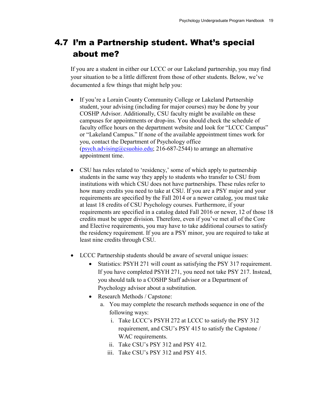### <span id="page-24-0"></span>4.7 I'm a Partnership student. What's special about me?

If you are a student in either our LCCC or our Lakeland partnership, you may find your situation to be a little different from those of other students. Below, we've documented a few things that might help you:

- If you're a Lorain County Community College or Lakeland Partnership student, your advising (including for major courses) may be done by your COSHP Advisor. Additionally, CSU faculty might be available on these campuses for appointments or drop-ins. You should check the schedule of faculty office hours on the department website and look for "LCCC Campus" or "Lakeland Campus." If none of the available appointment times work for you, contact the Department of Psychology office [\(psych.advising@csuohio.edu;](mailto:psych.advising@csuohio.edu) 216-687-2544) to arrange an alternative appointment time.
- CSU has rules related to 'residency,' some of which apply to partnership students in the same way they apply to students who transfer to CSU from institutions with which CSU does not have partnerships. These rules refer to how many credits you need to take at CSU. If you are a PSY major and your requirements are specified by the Fall 2014 or a newer catalog, you must take at least 18 credits of CSU Psychology courses. Furthermore, if your requirements are specified in a catalog dated Fall 2016 or newer, 12 of those 18 credits must be upper division. Therefore, even if you've met all of the Core and Elective requirements, you may have to take additional courses to satisfy the residency requirement. If you are a PSY minor, you are required to take at least nine credits through CSU.
- LCCC Partnership students should be aware of several unique issues:
	- Statistics: PSYH 271 will count as satisfying the PSY 317 requirement. If you have completed PSYH 271, you need not take PSY 217. Instead, you should talk to a COSHP Staff advisor or a Department of Psychology advisor about a substitution.
	- Research Methods / Capstone:
		- a. You may complete the research methods sequence in one of the following ways:
			- i. Take LCCC's PSYH 272 at LCCC to satisfy the PSY 312 requirement, and CSU's PSY 415 to satisfy the Capstone / WAC requirements.
			- ii. Take CSU's PSY 312 and PSY 412.
			- iii. Take CSU's PSY 312 and PSY 415.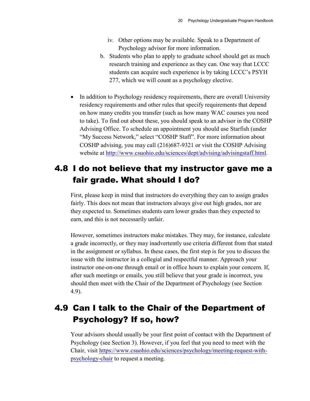- iv. Other options may be available. Speak to a Department of Psychology advisor for more information.
- b. Students who plan to apply to graduate school should get as much research training and experience as they can. One way that LCCC students can acquire such experience is by taking LCCC's PSYH 277, which we will count as a psychology elective.
- In addition to Psychology residency requirements, there are overall University residency requirements and other rules that specify requirements that depend on how many credits you transfer (such as how many WAC courses you need to take). To find out about these, you should speak to an advisor in the COSHP Advising Office. To schedule an appointment you should use Starfish (under "My Success Network," select "COSHP Staff". For more information about COSHP advising, you may call (216)687-9321 or visit the COSHP Advising website at [http://www.csuohio.edu/sciences/dept/advising/advisingstaff.html.](http://www.csuohio.edu/sciences/dept/advising/advisingstaff.html)

### <span id="page-25-0"></span>4.8 I do not believe that my instructor gave me a fair grade. What should I do?

First, please keep in mind that instructors do everything they can to assign grades fairly. This does not mean that instructors always give out high grades, nor are they expected to. Sometimes students earn lower grades than they expected to earn, and this is not necessarily unfair.

However, sometimes instructors make mistakes. They may, for instance, calculate a grade incorrectly, or they may inadvertently use criteria different from that stated in the assignment or syllabus. In these cases, the first step is for you to discuss the issue with the instructor in a collegial and respectful manner. Approach your instructor one-on-one through email or in office hours to explain your concern. If, after such meetings or emails, you still believe that your grade is incorrect, you should then meet with the Chair of the Department of Psychology (see Section 4.9).

### <span id="page-25-1"></span>4.9 Can I talk to the Chair of the Department of Psychology? If so, how?

Your advisors should usually be your first point of contact with the Department of Psychology (see Section 3). However, if you feel that you need to meet with the Chair, visit [https://www.csuohio.edu/sciences/psychology/meeting-request-with](https://www.csuohio.edu/sciences/psychology/meeting-request-with-psychology-chair)[psychology-chair](https://www.csuohio.edu/sciences/psychology/meeting-request-with-psychology-chair) to request a meeting.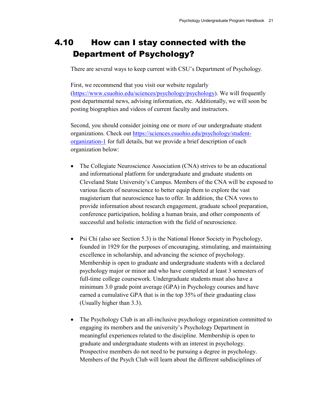### <span id="page-26-0"></span>4.10 How can I stay connected with the Department of Psychology?

There are several ways to keep current with CSU's Department of Psychology.

First, we recommend that you visit our website regularly [\(https://www.csuohio.edu/sciences/psychology/psychology\)](https://www.csuohio.edu/sciences/psychology/psychology). We will frequently post departmental news, advising information, etc. Additionally, we will soon be posting biographies and videos of current faculty and instructors.

Second, you should consider joining one or more of our undergraduate student organizations. Check out [https://sciences.csuohio.edu/psychology/student](https://sciences.csuohio.edu/psychology/student-organization-1)[organization-1](https://sciences.csuohio.edu/psychology/student-organization-1) for full details, but we provide a brief description of each organization below:

- The Collegiate Neuroscience Association (CNA) strives to be an educational and informational platform for undergraduate and graduate students on Cleveland State University's Campus. Members of the CNA will be exposed to various facets of neuroscience to better equip them to explore the vast magisterium that neuroscience has to offer. In addition, the CNA vows to provide information about research engagement, graduate school preparation, conference participation, holding a human brain, and other components of successful and holistic interaction with the field of neuroscience.
- Psi Chi (also see Section 5.3) is the National Honor Society in Psychology, founded in 1929 for the purposes of encouraging, stimulating, and maintaining excellence in scholarship, and advancing the science of psychology. Membership is open to graduate and undergraduate students with a declared psychology major or minor and who have completed at least 3 semesters of full-time college coursework. Undergraduate students must also have a minimum 3.0 grade point average (GPA) in Psychology courses and have earned a cumulative GPA that is in the top 35% of their graduating class (Usually higher than 3.3).
- The Psychology Club is an all-inclusive psychology organization committed to engaging its members and the university's Psychology Department in meaningful experiences related to the discipline. Membership is open to graduate and undergraduate students with an interest in psychology. Prospective members do not need to be pursuing a degree in psychology. Members of the Psych Club will learn about the different subdisciplines of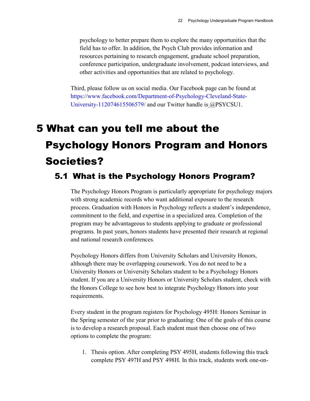psychology to better prepare them to explore the many opportunities that the field has to offer. In addition, the Psych Club provides information and resources pertaining to research engagement, graduate school preparation, conference participation, undergraduate involvement, podcast interviews, and other activities and opportunities that are related to psychology.

Third, please follow us on social media. Our Facebook page can be found at [https://www.facebook.com/Department-of-Psychology-Cleveland-State-](https://www.facebook.com/Department-of-Psychology-Cleveland-State-University-112074615506579/)[University-112074615506579/](https://www.facebook.com/Department-of-Psychology-Cleveland-State-University-112074615506579/) and our Twitter handle is @PSYCSU1.

## <span id="page-27-0"></span>5 What can you tell me about the Psychology Honors Program and Honors Societies?

### <span id="page-27-1"></span>5.1 What is the Psychology Honors Program?

The Psychology Honors Program is particularly appropriate for psychology majors with strong academic records who want additional exposure to the research process. Graduation with Honors in Psychology reflects a student's independence, commitment to the field, and expertise in a specialized area. Completion of the program may be advantageous to students applying to graduate or professional programs. In past years, honors students have presented their research at regional and national research conferences.

Psychology Honors differs from University Scholars and University Honors, although there may be overlapping coursework. You do not need to be a University Honors or University Scholars student to be a Psychology Honors student. If you are a University Honors or University Scholars student, check with the Honors College to see how best to integrate Psychology Honors into your requirements.

Every student in the program registers for Psychology 495H: Honors Seminar in the Spring semester of the year prior to graduating: One of the goals of this course is to develop a research proposal. Each student must then choose one of two options to complete the program:

1. Thesis option. After completing PSY 495H, students following this track complete PSY 497H and PSY 498H. In this track, students work one-on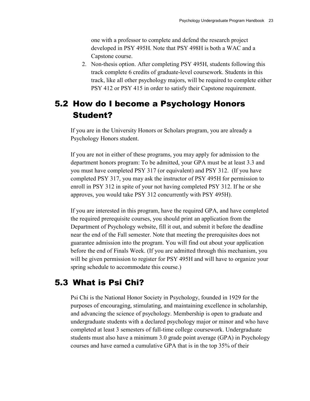one with a professor to complete and defend the research project developed in PSY 495H. Note that PSY 498H is both a WAC and a Capstone course.

2. Non-thesis option. After completing PSY 495H, students following this track complete 6 credits of graduate-level coursework. Students in this track, like all other psychology majors, will be required to complete either PSY 412 or PSY 415 in order to satisfy their Capstone requirement.

### <span id="page-28-0"></span>5.2 How do I become a Psychology Honors Student?

If you are in the University Honors or Scholars program, you are already a Psychology Honors student.

If you are not in either of these programs, you may apply for admission to the department honors program: To be admitted, your GPA must be at least 3.3 and you must have completed PSY 317 (or equivalent) and PSY 312. (If you have completed PSY 317, you may ask the instructor of PSY 495H for permission to enroll in PSY 312 in spite of your not having completed PSY 312. If he or she approves, you would take PSY 312 concurrently with PSY 495H).

If you are interested in this program, have the required GPA, and have completed the required prerequisite courses, you should print an application from the Department of Psychology website, fill it out, and submit it before the deadline near the end of the Fall semester. Note that meeting the prerequisites does not guarantee admission into the program. You will find out about your application before the end of Finals Week. (If you are admitted through this mechanism, you will be given permission to register for PSY 495H and will have to organize your spring schedule to accommodate this course.)

### <span id="page-28-1"></span>5.3 What is Psi Chi?

Psi Chi is the National Honor Society in Psychology, founded in 1929 for the purposes of encouraging, stimulating, and maintaining excellence in scholarship, and advancing the science of psychology. Membership is open to graduate and undergraduate students with a declared psychology major or minor and who have completed at least 3 semesters of full-time college coursework. Undergraduate students must also have a minimum 3.0 grade point average (GPA) in Psychology courses and have earned a cumulative GPA that is in the top 35% of their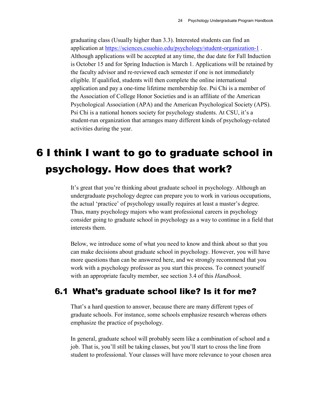graduating class (Usually higher than 3.3). Interested students can find an application at<https://sciences.csuohio.edu/psychology/student-organization-1> . Although applications will be accepted at any time, the due date for Fall Induction is October 15 and for Spring Induction is March 1. Applications will be retained by the faculty advisor and re-reviewed each semester if one is not immediately eligible. If qualified, students will then complete the online international application and pay a one-time lifetime membership fee. Psi Chi is a member of the Association of College Honor Societies and is an affiliate of the American Psychological Association (APA) and the American Psychological Society (APS). Psi Chi is a national honors society for psychology students. At CSU, it's a student-run organization that arranges many different kinds of psychology-related activities during the year.

## <span id="page-29-0"></span>6 I think I want to go to graduate school in psychology. How does that work?

It's great that you're thinking about graduate school in psychology. Although an undergraduate psychology degree can prepare you to work in various occupations, the actual 'practice' of psychology usually requires at least a master's degree. Thus, many psychology majors who want professional careers in psychology consider going to graduate school in psychology as a way to continue in a field that interests them.

Below, we introduce some of what you need to know and think about so that you can make decisions about graduate school in psychology. However, you will have more questions than can be answered here, and we strongly recommend that you work with a psychology professor as you start this process. To connect yourself with an appropriate faculty member, see section 3.4 of this *Handbook*.

### <span id="page-29-1"></span>6.1 What's graduate school like? Is it for me?

That's a hard question to answer, because there are many different types of graduate schools. For instance, some schools emphasize research whereas others emphasize the practice of psychology.

In general, graduate school will probably seem like a combination of school and a job. That is, you'll still be taking classes, but you'll start to cross the line from student to professional. Your classes will have more relevance to your chosen area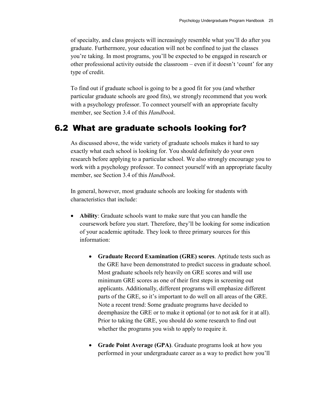of specialty, and class projects will increasingly resemble what you'll do after you graduate. Furthermore, your education will not be confined to just the classes you're taking. In most programs, you'll be expected to be engaged in research or other professional activity outside the classroom – even if it doesn't 'count' for any type of credit.

To find out if graduate school is going to be a good fit for you (and whether particular graduate schools are good fits), we strongly recommend that you work with a psychology professor. To connect yourself with an appropriate faculty member, see Section 3.4 of this *Handbook*.

### <span id="page-30-0"></span>6.2 What are graduate schools looking for?

As discussed above, the wide variety of graduate schools makes it hard to say exactly what each school is looking for. You should definitely do your own research before applying to a particular school. We also strongly encourage you to work with a psychology professor. To connect yourself with an appropriate faculty member, see Section 3.4 of this *Handbook*.

In general, however, most graduate schools are looking for students with characteristics that include:

- **Ability**: Graduate schools want to make sure that you can handle the coursework before you start. Therefore, they'll be looking for some indication of your academic aptitude. They look to three primary sources for this information:
	- **Graduate Record Examination (GRE) scores**. Aptitude tests such as the GRE have been demonstrated to predict success in graduate school. Most graduate schools rely heavily on GRE scores and will use minimum GRE scores as one of their first steps in screening out applicants. Additionally, different programs will emphasize different parts of the GRE, so it's important to do well on all areas of the GRE. Note a recent trend: Some graduate programs have decided to deemphasize the GRE or to make it optional (or to not ask for it at all). Prior to taking the GRE, you should do some research to find out whether the programs you wish to apply to require it.
	- **Grade Point Average (GPA)**. Graduate programs look at how you performed in your undergraduate career as a way to predict how you'll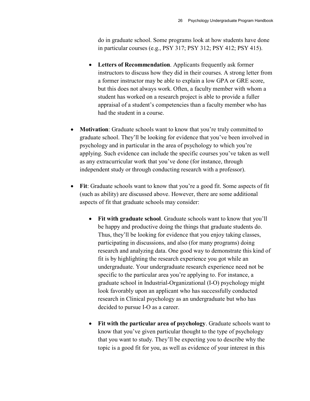do in graduate school. Some programs look at how students have done in particular courses (e.g., PSY 317; PSY 312; PSY 412; PSY 415).

- **Letters of Recommendation**. Applicants frequently ask former instructors to discuss how they did in their courses. A strong letter from a former instructor may be able to explain a low GPA or GRE score, but this does not always work. Often, a faculty member with whom a student has worked on a research project is able to provide a fuller appraisal of a student's competencies than a faculty member who has had the student in a course.
- **Motivation**: Graduate schools want to know that you're truly committed to graduate school. They'll be looking for evidence that you've been involved in psychology and in particular in the area of psychology to which you're applying. Such evidence can include the specific courses you've taken as well as any extracurricular work that you've done (for instance, through independent study or through conducting research with a professor).
- **Fit**: Graduate schools want to know that you're a good fit. Some aspects of fit (such as ability) are discussed above. However, there are some additional aspects of fit that graduate schools may consider:
	- **Fit with graduate school**. Graduate schools want to know that you'll be happy and productive doing the things that graduate students do. Thus, they'll be looking for evidence that you enjoy taking classes, participating in discussions, and also (for many programs) doing research and analyzing data. One good way to demonstrate this kind of fit is by highlighting the research experience you got while an undergraduate. Your undergraduate research experience need not be specific to the particular area you're applying to. For instance, a graduate school in Industrial-Organizational (I-O) psychology might look favorably upon an applicant who has successfully conducted research in Clinical psychology as an undergraduate but who has decided to pursue I-O as a career.
	- **Fit with the particular area of psychology**. Graduate schools want to know that you've given particular thought to the type of psychology that you want to study. They'll be expecting you to describe why the topic is a good fit for you, as well as evidence of your interest in this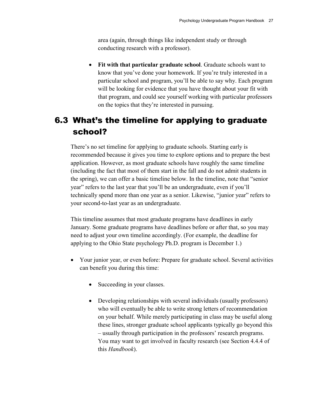area (again, through things like independent study or through conducting research with a professor).

• **Fit with that particular graduate school**. Graduate schools want to know that you've done your homework. If you're truly interested in a particular school and program, you'll be able to say why. Each program will be looking for evidence that you have thought about your fit with that program, and could see yourself working with particular professors on the topics that they're interested in pursuing.

### <span id="page-32-0"></span>6.3 What's the timeline for applying to graduate school?

There's no set timeline for applying to graduate schools. Starting early is recommended because it gives you time to explore options and to prepare the best application. However, as most graduate schools have roughly the same timeline (including the fact that most of them start in the fall and do not admit students in the spring), we can offer a basic timeline below. In the timeline, note that "senior year" refers to the last year that you'll be an undergraduate, even if you'll technically spend more than one year as a senior. Likewise, "junior year" refers to your second-to-last year as an undergraduate.

This timeline assumes that most graduate programs have deadlines in early January. Some graduate programs have deadlines before or after that, so you may need to adjust your own timeline accordingly. (For example, the deadline for applying to the Ohio State psychology Ph.D. program is December 1.)

- Your junior year, or even before: Prepare for graduate school. Several activities can benefit you during this time:
	- Succeeding in your classes.
	- Developing relationships with several individuals (usually professors) who will eventually be able to write strong letters of recommendation on your behalf. While merely participating in class may be useful along these lines, stronger graduate school applicants typically go beyond this – usually through participation in the professors' research programs. You may want to get involved in faculty research (see Section 4.4.4 of this *Handbook*).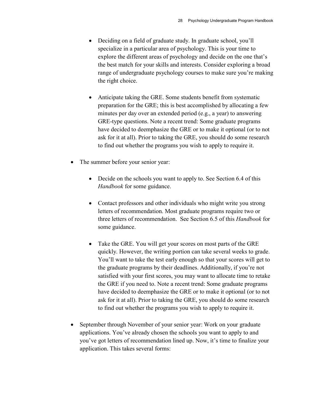- Deciding on a field of graduate study. In graduate school, you'll specialize in a particular area of psychology. This is your time to explore the different areas of psychology and decide on the one that's the best match for your skills and interests. Consider exploring a broad range of undergraduate psychology courses to make sure you're making the right choice.
- Anticipate taking the GRE. Some students benefit from systematic preparation for the GRE; this is best accomplished by allocating a few minutes per day over an extended period (e.g., a year) to answering GRE-type questions. Note a recent trend: Some graduate programs have decided to deemphasize the GRE or to make it optional (or to not ask for it at all). Prior to taking the GRE, you should do some research to find out whether the programs you wish to apply to require it.
- The summer before your senior year:
	- Decide on the schools you want to apply to. See Section 6.4 of this *Handbook* for some guidance.
	- Contact professors and other individuals who might write you strong letters of recommendation. Most graduate programs require two or three letters of recommendation. See Section 6.5 of this *Handbook* for some guidance.
	- Take the GRE. You will get your scores on most parts of the GRE quickly. However, the writing portion can take several weeks to grade. You'll want to take the test early enough so that your scores will get to the graduate programs by their deadlines. Additionally, if you're not satisfied with your first scores, you may want to allocate time to retake the GRE if you need to. Note a recent trend: Some graduate programs have decided to deemphasize the GRE or to make it optional (or to not ask for it at all). Prior to taking the GRE, you should do some research to find out whether the programs you wish to apply to require it.
- September through November of your senior year: Work on your graduate applications. You've already chosen the schools you want to apply to and you've got letters of recommendation lined up. Now, it's time to finalize your application. This takes several forms: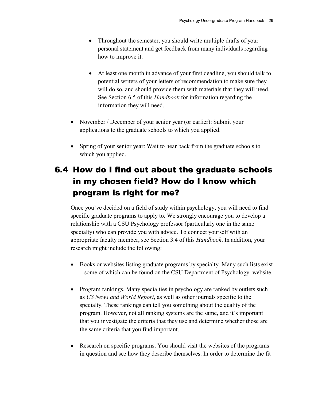- Throughout the semester, you should write multiple drafts of your personal statement and get feedback from many individuals regarding how to improve it.
- At least one month in advance of your first deadline, you should talk to potential writers of your letters of recommendation to make sure they will do so, and should provide them with materials that they will need. See Section 6.5 of this *Handbook* for information regarding the information they will need.
- November / December of your senior year (or earlier): Submit your applications to the graduate schools to which you applied.
- Spring of your senior year: Wait to hear back from the graduate schools to which you applied.

### <span id="page-34-0"></span>6.4 How do I find out about the graduate schools in my chosen field? How do I know which program is right for me?

Once you've decided on a field of study within psychology, you will need to find specific graduate programs to apply to. We strongly encourage you to develop a relationship with a CSU Psychology professor (particularly one in the same specialty) who can provide you with advice. To connect yourself with an appropriate faculty member, see Section 3.4 of this *Handbook*. In addition, your research might include the following:

- Books or websites listing graduate programs by specialty. Many such lists exist – some of which can be found on the CSU Department of Psychology website.
- Program rankings. Many specialties in psychology are ranked by outlets such as *US News and World Report*, as well as other journals specific to the specialty. These rankings can tell you something about the quality of the program. However, not all ranking systems are the same, and it's important that you investigate the criteria that they use and determine whether those are the same criteria that you find important.
- Research on specific programs. You should visit the websites of the programs in question and see how they describe themselves. In order to determine the fit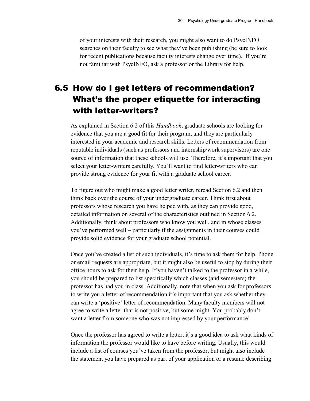of your interests with their research, you might also want to do PsycINFO searches on their faculty to see what they've been publishing (be sure to look for recent publications because faculty interests change over time). If you're not familiar with PsycINFO, ask a professor or the Library for help.

### <span id="page-35-0"></span>6.5 How do I get letters of recommendation? What's the proper etiquette for interacting with letter-writers?

As explained in Section 6.2 of this *Handbook*, graduate schools are looking for evidence that you are a good fit for their program, and they are particularly interested in your academic and research skills. Letters of recommendation from reputable individuals (such as professors and internship/work supervisors) are one source of information that these schools will use. Therefore, it's important that you select your letter-writers carefully. You'll want to find letter-writers who can provide strong evidence for your fit with a graduate school career.

To figure out who might make a good letter writer, reread Section 6.2 and then think back over the course of your undergraduate career. Think first about professors whose research you have helped with, as they can provide good, detailed information on several of the characteristics outlined in Section 6.2. Additionally, think about professors who know you well, and in whose classes you've performed well – particularly if the assignments in their courses could provide solid evidence for your graduate school potential.

Once you've created a list of such individuals, it's time to ask them for help. Phone or email requests are appropriate, but it might also be useful to stop by during their office hours to ask for their help. If you haven't talked to the professor in a while, you should be prepared to list specifically which classes (and semesters) the professor has had you in class. Additionally, note that when you ask for professors to write you a letter of recommendation it's important that you ask whether they can write a 'positive' letter of recommendation. Many faculty members will not agree to write a letter that is not positive, but some might. You probably don't want a letter from someone who was not impressed by your performance!

Once the professor has agreed to write a letter, it's a good idea to ask what kinds of information the professor would like to have before writing. Usually, this would include a list of courses you've taken from the professor, but might also include the statement you have prepared as part of your application or a resume describing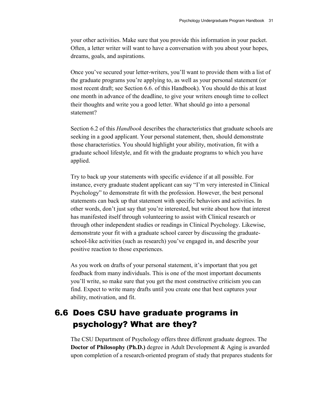your other activities. Make sure that you provide this information in your packet. Often, a letter writer will want to have a conversation with you about your hopes, dreams, goals, and aspirations.

Once you've secured your letter-writers, you'll want to provide them with a list of the graduate programs you're applying to, as well as your personal statement (or most recent draft; see Section 6.6. of this Handbook). You should do this at least one month in advance of the deadline, to give your writers enough time to collect their thoughts and write you a good letter. What should go into a personal statement?

Section 6.2 of this *Handbook* describes the characteristics that graduate schools are seeking in a good applicant. Your personal statement, then, should demonstrate those characteristics. You should highlight your ability, motivation, fit with a graduate school lifestyle, and fit with the graduate programs to which you have applied.

Try to back up your statements with specific evidence if at all possible. For instance, every graduate student applicant can say "I'm very interested in Clinical Psychology" to demonstrate fit with the profession. However, the best personal statements can back up that statement with specific behaviors and activities. In other words, don't just say that you're interested, but write about how that interest has manifested itself through volunteering to assist with Clinical research or through other independent studies or readings in Clinical Psychology. Likewise, demonstrate your fit with a graduate school career by discussing the graduateschool-like activities (such as research) you've engaged in, and describe your positive reaction to those experiences.

As you work on drafts of your personal statement, it's important that you get feedback from many individuals. This is one of the most important documents you'll write, so make sure that you get the most constructive criticism you can find. Expect to write many drafts until you create one that best captures your ability, motivation, and fit.

### <span id="page-36-0"></span>6.6 Does CSU have graduate programs in psychology? What are they?

The CSU Department of Psychology offers three different graduate degrees. The **Doctor of Philosophy (Ph.D.)** degree in Adult Development & Aging is awarded upon completion of a research-oriented program of study that prepares students for